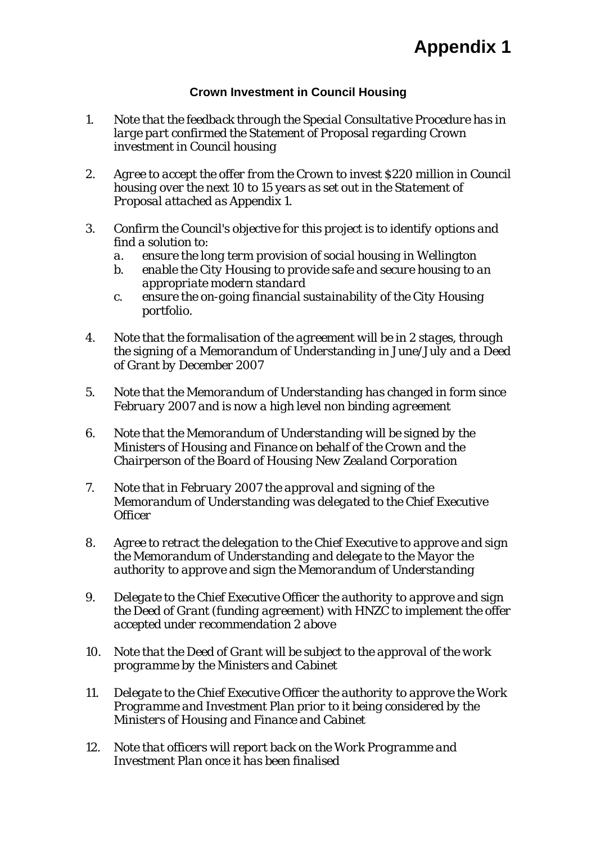## **Appendix 1**

## **Crown Investment in Council Housing**

- *1. Note that the feedback through the Special Consultative Procedure has in large part confirmed the Statement of Proposal regarding Crown investment in Council housing*
- *2. Agree to accept the offer from the Crown to invest \$220 million in Council housing over the next 10 to 15 years as set out in the Statement of Proposal attached as Appendix 1.*
- *3. Confirm the Council's objective for this project is to identify options and find a solution to:* 
	- *a. ensure the long term provision of social housing in Wellington*
	- *b. enable the City Housing to provide safe and secure housing to an appropriate modern standard*
	- *c. ensure the on-going financial sustainability of the City Housing portfolio.*
- *4. Note that the formalisation of the agreement will be in 2 stages, through the signing of a Memorandum of Understanding in June/July and a Deed of Grant by December 2007*
- *5. Note that the Memorandum of Understanding has changed in form since February 2007 and is now a high level non binding agreement*
- *6. Note that the Memorandum of Understanding will be signed by the Ministers of Housing and Finance on behalf of the Crown and the Chairperson of the Board of Housing New Zealand Corporation*
- *7. Note that in February 2007 the approval and signing of the Memorandum of Understanding was delegated to the Chief Executive Officer*
- *8. Agree to retract the delegation to the Chief Executive to approve and sign the Memorandum of Understanding and delegate to the Mayor the authority to approve and sign the Memorandum of Understanding*
- *9. Delegate to the Chief Executive Officer the authority to approve and sign the Deed of Grant (funding agreement) with HNZC to implement the offer accepted under recommendation 2 above*
- *10. Note that the Deed of Grant will be subject to the approval of the work programme by the Ministers and Cabinet*
- *11. Delegate to the Chief Executive Officer the authority to approve the Work Programme and Investment Plan prior to it being considered by the Ministers of Housing and Finance and Cabinet*
- *12. Note that officers will report back on the Work Programme and Investment Plan once it has been finalised*